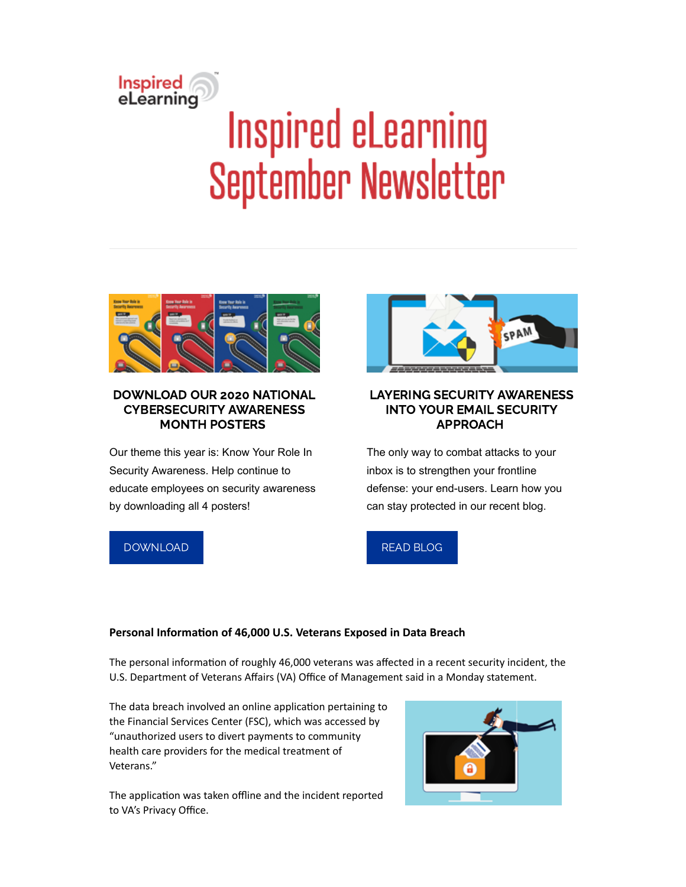# Inspired<br>eLearning **Inspired eLearning September Newsletter**



## DOWNLOAD OUR 2020 NATIONAL CYBERSECURITY AWARENESS MONTH POSTERS

Our theme this year is: Know Your Role In Security Awareness. Help continue to educate employees on security awareness by downloading all 4 posters!



# LAYERING SECURITY AWARENESS INTO YOUR EMAIL SECURITY APPROACH

The only way to combat attacks to your inbox is to strengthen your frontline defense: your end-users. Learn how you can stay protected in our recent blog.

# [DOWNLOAD](https://inspiredelearning.com/resource/know-your-role-in-security-awareness-training-posters/)



## **Personal Information of 46,000 U.S. Veterans Exposed in Data Breach**

The personal information of roughly 46,000 veterans was affected in a recent security incident, the U.S. Department of Veterans Affairs (VA) Office of Management said in a Monday statement.

The data breach involved an online application pertaining to the Financial Services Center (FSC), which was accessed by "unauthorized users to divert payments to community health care providers for the medical treatment of Veterans."

The application was taken offline and the incident reported to VA's Privacy Office.

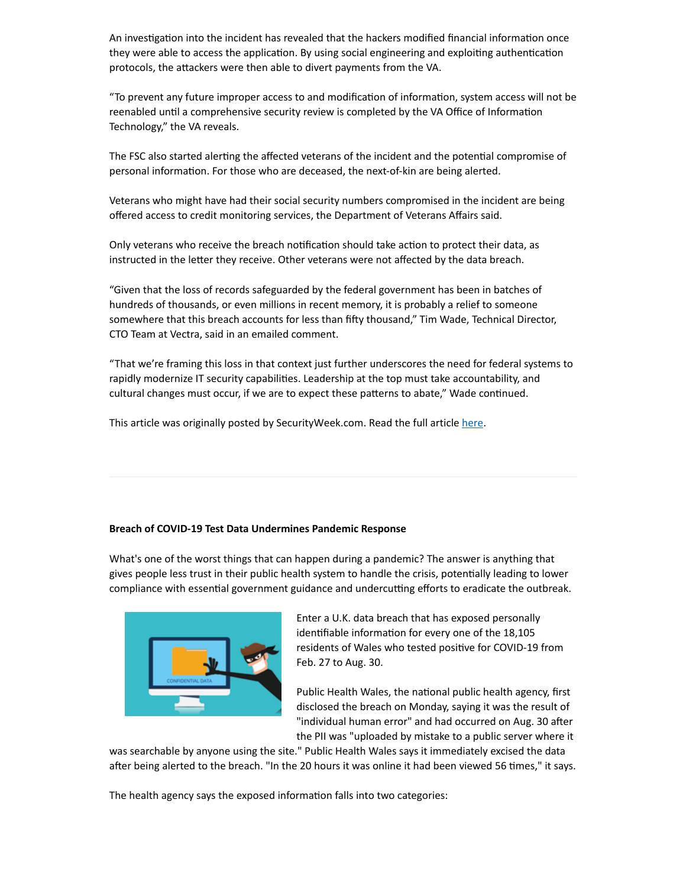An investigation into the incident has revealed that the hackers modified financial information once they were able to access the application. By using social engineering and exploiting authentication protocols, the attackers were then able to divert payments from the VA.

"To prevent any future improper access to and modification of information, system access will not be reenabled until a comprehensive security review is completed by the VA Office of Information Technology," the VA reveals.

The FSC also started alerting the affected veterans of the incident and the potential compromise of personal information. For those who are deceased, the next-of-kin are being alerted.

Veterans who might have had their social security numbers compromised in the incident are being offered access to credit monitoring services, the Department of Veterans Affairs said.

Only veterans who receive the breach notification should take action to protect their data, as instructed in the letter they receive. Other veterans were not affected by the data breach.

"Given that the loss of records safeguarded by the federal government has been in batches of hundreds of thousands, or even millions in recent memory, it is probably a relief to someone somewhere that this breach accounts for less than fifty thousand," Tim Wade, Technical Director, CTO Team at Vectra, said in an emailed comment.

"That we're framing this loss in that context just further underscores the need for federal systems to rapidly modernize IT security capabilities. Leadership at the top must take accountability, and cultural changes must occur, if we are to expect these patterns to abate," Wade continued.

This article was originally posted by SecurityWeek.com. Read the full article [here.](https://www.securityweek.com/personal-information-46000-us-veterans-exposed-data-breach)

#### **Breach of COVID-19 Test Data Undermines Pandemic Response**

What's one of the worst things that can happen during a pandemic? The answer is anything that gives people less trust in their public health system to handle the crisis, potentially leading to lower compliance with essential government guidance and undercutting efforts to eradicate the outbreak.



Enter a U.K. data breach that has exposed personally identifiable information for every one of the 18,105 residents of Wales who tested positive for COVID-19 from Feb. 27 to Aug. 30.

Public Health Wales, the national public health agency, first disclosed the breach on Monday, saying it was the result of "individual human error" and had occurred on Aug. 30 after the PII was "uploaded by mistake to a public server where it

was searchable by anyone using the site." Public Health Wales says it immediately excised the data after being alerted to the breach. "In the 20 hours it was online it had been viewed 56 times," it says.

The health agency says the exposed information falls into two categories: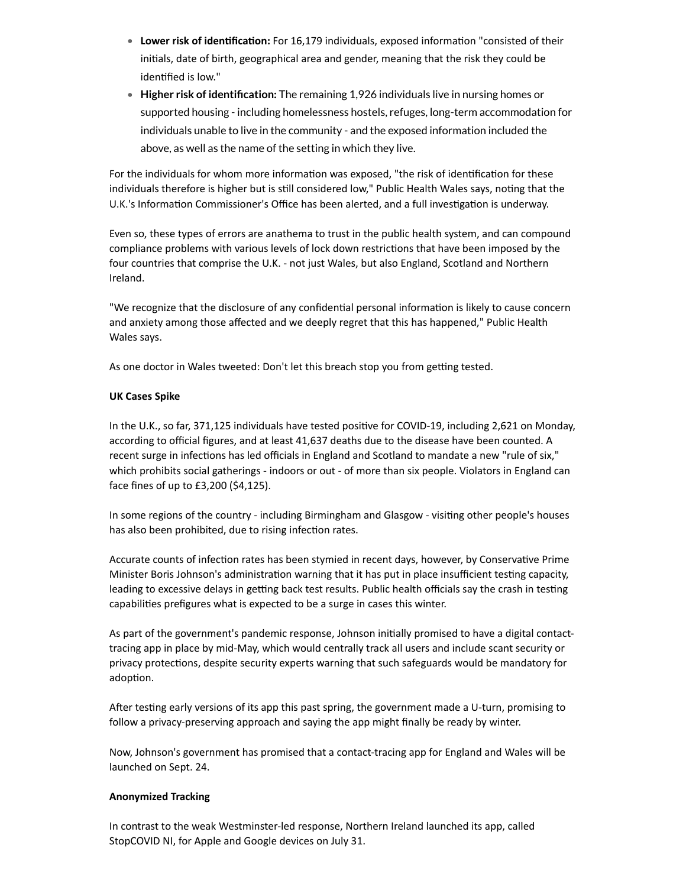- **Lower risk of identification:** For 16,179 individuals, exposed information "consisted of their inials, date of birth, geographical area and gender, meaning that the risk they could be identified is low."
- **Higher risk of identification:** The remaining 1,926 individuals live in nursing homes or supported housing - including homelessness hostels, refuges, long-term accommodation for individuals unable to live in the community - and the exposed information included the above, as well as the name of the setting in which they live.

For the individuals for whom more information was exposed, "the risk of identification for these individuals therefore is higher but is still considered low," Public Health Wales says, noting that the U.K.'s Information Commissioner's Office has been alerted, and a full investigation is underway.

Even so, these types of errors are anathema to trust in the public health system, and can compound compliance problems with various levels of lock down restrictions that have been imposed by the four countries that comprise the U.K. - not just Wales, but also England, Scotland and Northern Ireland.

"We recognize that the disclosure of any confidential personal information is likely to cause concern and anxiety among those affected and we deeply regret that this has happened," Public Health Wales says.

As one doctor in Wales tweeted: Don't let this breach stop you from getting tested.

#### **UK Cases Spike**

In the U.K., so far, 371,125 individuals have tested positive for COVID-19, including 2,621 on Monday, according to official figures, and at least 41,637 deaths due to the disease have been counted. A recent surge in infections has led officials in England and Scotland to mandate a new "rule of six," which prohibits social gatherings - indoors or out - of more than six people. Violators in England can face fines of up to £3,200 (\$4,125).

In some regions of the country - including Birmingham and Glasgow - visiting other people's houses has also been prohibited, due to rising infection rates.

Accurate counts of infection rates has been stymied in recent days, however, by Conservative Prime Minister Boris Johnson's administration warning that it has put in place insufficient testing capacity, leading to excessive delays in getting back test results. Public health officials say the crash in testing capabilities prefigures what is expected to be a surge in cases this winter.

As part of the government's pandemic response, Johnson initially promised to have a digital contacttracing app in place by mid-May, which would centrally track all users and include scant security or privacy protections, despite security experts warning that such safeguards would be mandatory for adoption.

After testing early versions of its app this past spring, the government made a U-turn, promising to follow a privacy-preserving approach and saying the app might finally be ready by winter.

Now, Johnson's government has promised that a contact-tracing app for England and Wales will be launched on Sept. 24.

#### **Anonymized Tracking**

In contrast to the weak Westminster-led response, Northern Ireland launched its app, called StopCOVID NI, for Apple and Google devices on July 31.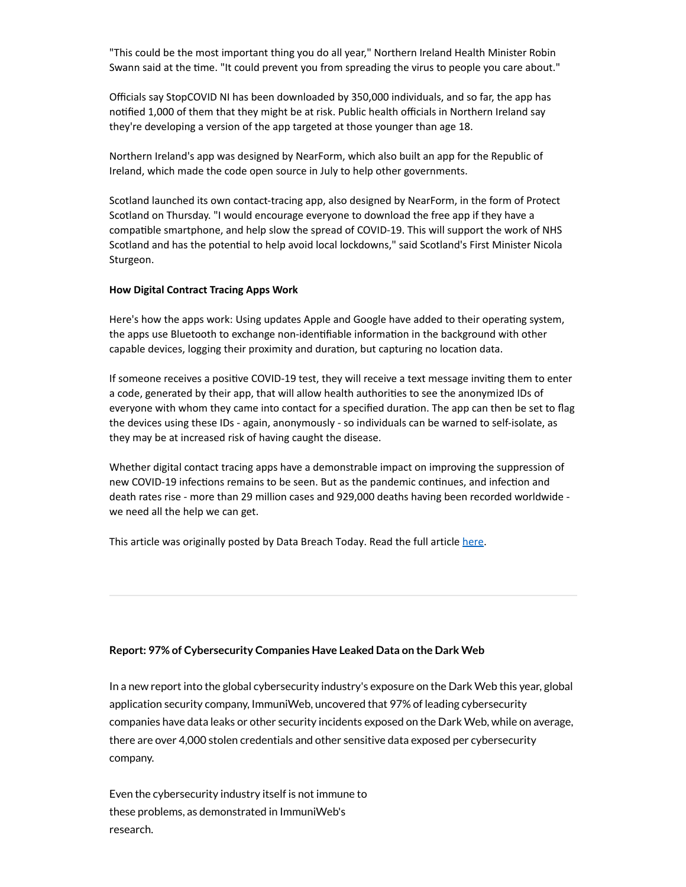"This could be the most important thing you do all year," Northern Ireland Health Minister Robin Swann said at the time. "It could prevent you from spreading the virus to people you care about."

Officials say StopCOVID NI has been downloaded by 350,000 individuals, and so far, the app has nofied 1,000 of them that they might be at risk. Public health officials in Northern Ireland say they're developing a version of the app targeted at those younger than age 18.

Northern Ireland's app was designed by NearForm, which also built an app for the Republic of Ireland, which made the code open source in July to help other governments.

Scotland launched its own contact-tracing app, also designed by NearForm, in the form of Protect Scotland on Thursday. "I would encourage everyone to download the free app if they have a compatible smartphone, and help slow the spread of COVID-19. This will support the work of NHS Scotland and has the potential to help avoid local lockdowns," said Scotland's First Minister Nicola Sturgeon.

#### **How Digital Contract Tracing Apps Work**

Here's how the apps work: Using updates Apple and Google have added to their operating system, the apps use Bluetooth to exchange non-identifiable information in the background with other capable devices, logging their proximity and duration, but capturing no location data.

If someone receives a positive COVID-19 test, they will receive a text message inviting them to enter a code, generated by their app, that will allow health authorities to see the anonymized IDs of everyone with whom they came into contact for a specified duration. The app can then be set to flag the devices using these IDs - again, anonymously - so individuals can be warned to self-isolate, as they may be at increased risk of having caught the disease.

Whether digital contact tracing apps have a demonstrable impact on improving the suppression of new COVID-19 infections remains to be seen. But as the pandemic continues, and infection and death rates rise - more than 29 million cases and 929,000 deaths having been recorded worldwide we need all the help we can get.

This article was originally posted by Data Breach Today. Read the full article [here.](https://www.databreachtoday.com/blogs/breach-covid-19-test-data-undermines-pandemic-response-p-2938)

#### **Report: 97% of Cybersecurity Companies Have Leaked Data on the Dark Web**

In a new report into the global cybersecurity industry's exposure on the Dark Web this year, global application security company, ImmuniWeb, uncovered that 97% of leading cybersecurity companies have data leaks or other security incidents exposed on the Dark Web, while on average, there are over 4,000 stolen credentials and other sensitive data exposed per cybersecurity company.

Even the cybersecurity industry itself is not immune to these problems, as demonstrated in ImmuniWeb's research.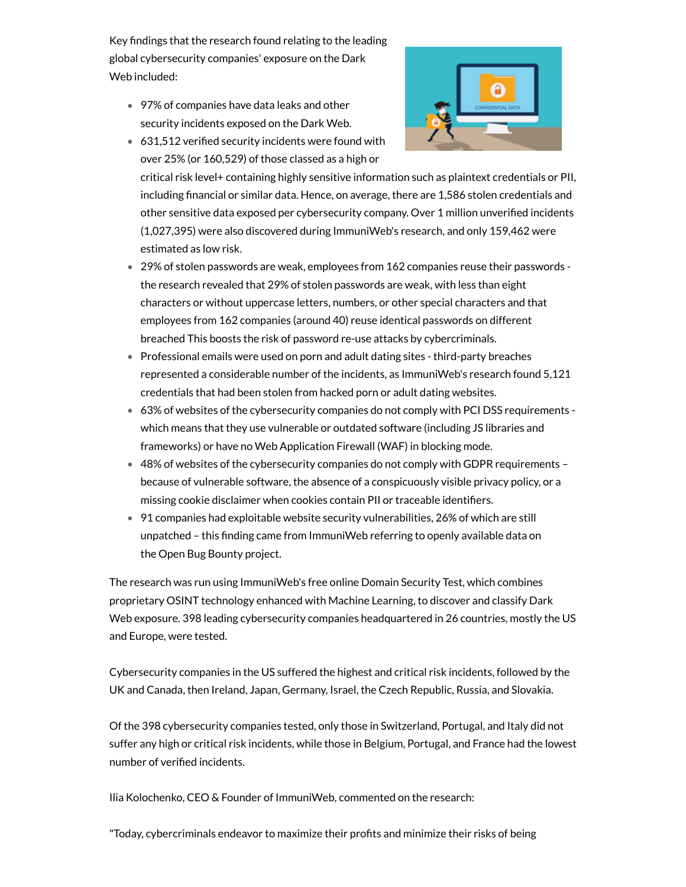Key findings that the research found relating to the leading global cybersecurity companies' exposure on the Dark Web included:

97% of companies have data leaks and other security incidents exposed on the Dark Web.



 $631,512$  verified security incidents were found with over 25% (or 160,529) of those classed as a high or

critical risk level+ containing highly sensitive information such as plaintext credentials or PII, including financial or similar data. Hence, on average, there are 1,586 stolen credentials and other sensitive data exposed per cybersecurity company. Over 1 million unverified incidents (1,027,395) were also discovered during ImmuniWeb's research, and only 159,462 were estimated as low risk.

- 29% of stolen passwords are weak, employees from 162 companies reuse their passwords the research revealed that 29% of stolen passwords are weak, with less than eight characters or without uppercase letters, numbers, or other special characters and that employees from 162 companies (around 40) reuse identical passwords on different breached This boosts the risk of password re-use attacks by cybercriminals.
- Professional emails were used on porn and adult dating sites third-party breaches represented a considerable number of the incidents, as ImmuniWeb's research found 5,121 credentials that had been stolen from hacked porn or adult dating websites.
- 63% of websites of the cybersecurity companies do not comply with PCI DSS requirements which means that they use vulnerable or outdated software (including JS libraries and frameworks) or have no Web Application Firewall (WAF) in blocking mode.
- 48% of websites of the cybersecurity companies do not comply with GDPR requirements because of vulnerable software, the absence of a conspicuously visible privacy policy, or a missing cookie disclaimer when cookies contain PII or traceable identifiers.
- 91 companies had exploitable website security vulnerabilities, 26% of which are still unpatched - this finding came from ImmuniWeb referring to openly available data on the Open Bug Bounty project.

The research was run using ImmuniWeb's free online Domain Security Test, which combines proprietary OSINT technology enhanced with Machine Learning, to discover and classify Dark Web exposure. 398 leading cybersecurity companies headquartered in 26 countries, mostly the US and Europe, were tested.

Cybersecurity companies in the US suffered the highest and critical risk incidents, followed by the UK and Canada, then Ireland, Japan, Germany, Israel, the Czech Republic, Russia, and Slovakia.

Of the 398 cybersecurity companies tested, only those in Switzerland, Portugal, and Italy did not suffer any high or critical risk incidents, while those in Belgium, Portugal, and France had the lowest number of verified incidents.

Ilia Kolochenko, CEO & Founder of ImmuniWeb, commented on the research:

"Today, cybercriminals endeavor to maximize their profits and minimize their risks of being